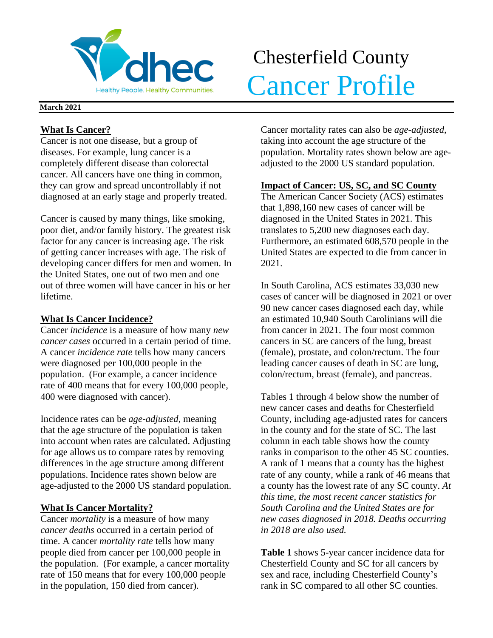

# Chesterfield County Realthy People. Healthy Communities. Cancer Profile

### **March 2021**

## **What Is Cancer?**

Cancer is not one disease, but a group of diseases. For example, lung cancer is a completely different disease than colorectal cancer. All cancers have one thing in common, they can grow and spread uncontrollably if not diagnosed at an early stage and properly treated.

Cancer is caused by many things, like smoking, poor diet, and/or family history. The greatest risk factor for any cancer is increasing age. The risk of getting cancer increases with age. The risk of developing cancer differs for men and women. In the United States, one out of two men and one out of three women will have cancer in his or her lifetime.

## **What Is Cancer Incidence?**

Cancer *incidence* is a measure of how many *new cancer cases* occurred in a certain period of time. A cancer *incidence rate* tells how many cancers were diagnosed per 100,000 people in the population. (For example, a cancer incidence rate of 400 means that for every 100,000 people, 400 were diagnosed with cancer).

Incidence rates can be *age-adjusted*, meaning that the age structure of the population is taken into account when rates are calculated. Adjusting for age allows us to compare rates by removing differences in the age structure among different populations. Incidence rates shown below are age-adjusted to the 2000 US standard population.

## **What Is Cancer Mortality?**

Cancer *mortality* is a measure of how many *cancer deaths* occurred in a certain period of time. A cancer *mortality rate* tells how many people died from cancer per 100,000 people in the population. (For example, a cancer mortality rate of 150 means that for every 100,000 people in the population, 150 died from cancer).

Cancer mortality rates can also be *age-adjusted*, taking into account the age structure of the population. Mortality rates shown below are ageadjusted to the 2000 US standard population.

## **Impact of Cancer: US, SC, and SC County**

The American Cancer Society (ACS) estimates that 1,898,160 new cases of cancer will be diagnosed in the United States in 2021. This translates to 5,200 new diagnoses each day. Furthermore, an estimated 608,570 people in the United States are expected to die from cancer in 2021.

In South Carolina, ACS estimates 33,030 new cases of cancer will be diagnosed in 2021 or over 90 new cancer cases diagnosed each day, while an estimated 10,940 South Carolinians will die from cancer in 2021. The four most common cancers in SC are cancers of the lung, breast (female), prostate, and colon/rectum. The four leading cancer causes of death in SC are lung, colon/rectum, breast (female), and pancreas.

Tables 1 through 4 below show the number of new cancer cases and deaths for Chesterfield County, including age-adjusted rates for cancers in the county and for the state of SC. The last column in each table shows how the county ranks in comparison to the other 45 SC counties. A rank of 1 means that a county has the highest rate of any county, while a rank of 46 means that a county has the lowest rate of any SC county. *At this time, the most recent cancer statistics for South Carolina and the United States are for new cases diagnosed in 2018. Deaths occurring in 2018 are also used.*

**Table 1** shows 5-year cancer incidence data for Chesterfield County and SC for all cancers by sex and race, including Chesterfield County's rank in SC compared to all other SC counties.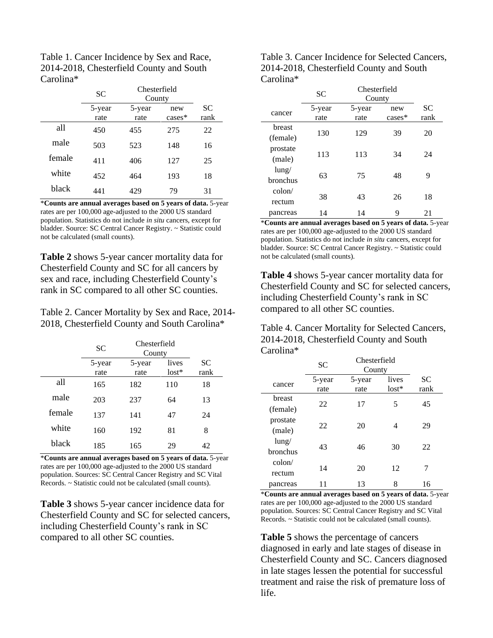Table 1. Cancer Incidence by Sex and Race, 2014-2018, Chesterfield County and South Carolina\*

|        | <b>SC</b>      | Chesterfield<br>County |                  |            |
|--------|----------------|------------------------|------------------|------------|
|        | 5-year<br>rate | 5-year<br>rate         | new<br>$cases^*$ | SС<br>rank |
| all    | 450            | 455                    | 275              | 22         |
| male   | 503            | 523                    | 148              | 16         |
| female | 411            | 406                    | 127              | 25         |
| white  | 452            | 464                    | 193              | 18         |
| black  | 441            | 429                    | 79               | 31         |

\***Counts are annual averages based on 5 years of data.** 5-year rates are per 100,000 age-adjusted to the 2000 US standard population. Statistics do not include *in situ* cancers, except for bladder. Source: SC Central Cancer Registry. ~ Statistic could not be calculated (small counts).

**Table 2** shows 5-year cancer mortality data for Chesterfield County and SC for all cancers by sex and race, including Chesterfield County's rank in SC compared to all other SC counties.

Table 2. Cancer Mortality by Sex and Race, 2014- 2018, Chesterfield County and South Carolina\*

|        | <b>SC</b>      | Chesterfield<br>County |                  |                   |
|--------|----------------|------------------------|------------------|-------------------|
|        | 5-year<br>rate | 5-year<br>rate         | lives<br>$lost*$ | <b>SC</b><br>rank |
| all    | 165            | 182                    | 110              | 18                |
| male   | 203            | 237                    | 64               | 13                |
| female | 137            | 141                    | 47               | 24                |
| white  | 160            | 192                    | 81               | 8                 |
| black  | 185            | 165                    | 29               | 42                |

\***Counts are annual averages based on 5 years of data.** 5-year rates are per 100,000 age-adjusted to the 2000 US standard population. Sources: SC Central Cancer Registry and SC Vital Records. ~ Statistic could not be calculated (small counts).

**Table 3** shows 5-year cancer incidence data for Chesterfield County and SC for selected cancers, including Chesterfield County's rank in SC compared to all other SC counties.

Table 3. Cancer Incidence for Selected Cancers, 2014-2018, Chesterfield County and South Carolina\*

|                 | SC     | Chesterfield<br>County |           |           |
|-----------------|--------|------------------------|-----------|-----------|
| cancer          | 5-year | 5-year                 | new       | <b>SC</b> |
|                 | rate   | rate                   | $cases^*$ | rank      |
| breast          | 130    | 129                    | 39        | 20        |
| (female)        |        |                        |           |           |
| prostate        | 113    | 113                    | 34        | 24        |
| (male)          |        |                        |           |           |
| $l$ ung/        | 63     | 75                     | 48        | 9         |
| bronchus        |        |                        |           |           |
| $\text{colon}/$ | 38     | 43                     | 26        | 18        |
| rectum          |        |                        |           |           |
| pancreas        | 14     | 14                     | 9         | 21        |

\***Counts are annual averages based on 5 years of data.** 5-year rates are per 100,000 age-adjusted to the 2000 US standard population. Statistics do not include *in situ* cancers, except for bladder. Source: SC Central Cancer Registry. ~ Statistic could not be calculated (small counts).

**Table 4** shows 5-year cancer mortality data for Chesterfield County and SC for selected cancers, including Chesterfield County's rank in SC compared to all other SC counties.

Table 4. Cancer Mortality for Selected Cancers, 2014-2018, Chesterfield County and South Carolina\*

|                 | <b>SC</b> | Chesterfield<br>County |         |      |
|-----------------|-----------|------------------------|---------|------|
| cancer          | 5-year    | 5-year                 | lives   | SC   |
|                 | rate      | rate                   | $lost*$ | rank |
| breast          | 22        | 17                     | 5       | 45   |
| (female)        |           |                        |         |      |
| prostate        |           | 20                     |         |      |
| (male)          | 22        |                        | 4       | 29   |
| lung/           | 43        | 46                     | 30      | 22   |
| <b>bronchus</b> |           |                        |         |      |
| $\text{colon}/$ | 14        | 20                     | 12      | 7    |
| rectum          |           |                        |         |      |
| pancreas        | 11        | 13                     | 8       | 16   |

\***Counts are annual averages based on 5 years of data.** 5-year rates are per 100,000 age-adjusted to the 2000 US standard population. Sources: SC Central Cancer Registry and SC Vital Records. ~ Statistic could not be calculated (small counts).

**Table 5** shows the percentage of cancers diagnosed in early and late stages of disease in Chesterfield County and SC. Cancers diagnosed in late stages lessen the potential for successful treatment and raise the risk of premature loss of life.